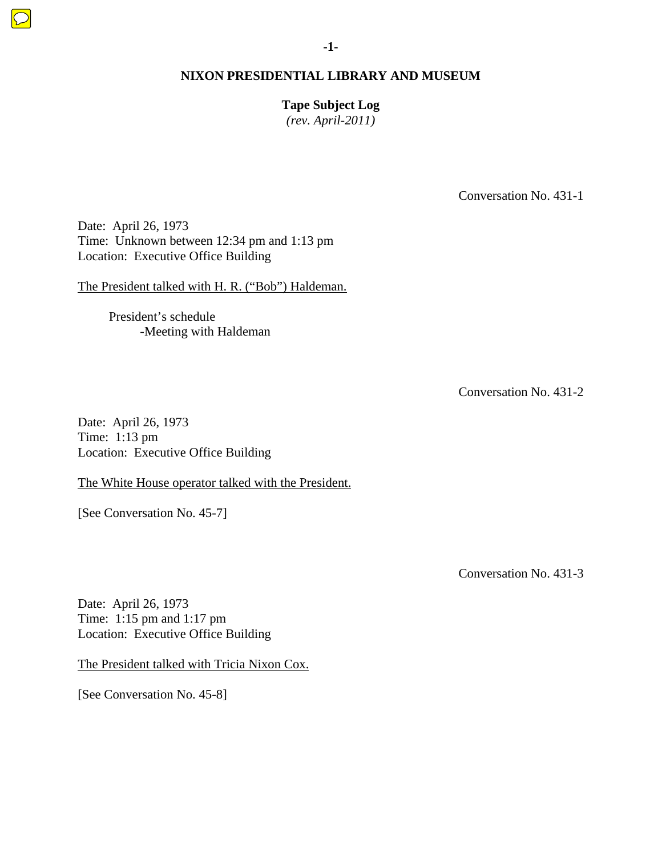**Tape Subject Log**  *(rev. April-2011)* 

Conversation No. 431-1

Date: April 26, 1973 Time: Unknown between 12:34 pm and 1:13 pm Location: Executive Office Building

The President talked with H. R. ("Bob") Haldeman.

 President's schedule -Meeting with Haldeman

Conversation No. 431-2

Date: April 26, 1973 Time: 1:13 pm Location: Executive Office Building

The White House operator talked with the President.

[See Conversation No. 45-7]

Conversation No. 431-3

Date: April 26, 1973 Time: 1:15 pm and 1:17 pm Location: Executive Office Building

The President talked with Tricia Nixon Cox.

[See Conversation No. 45-8]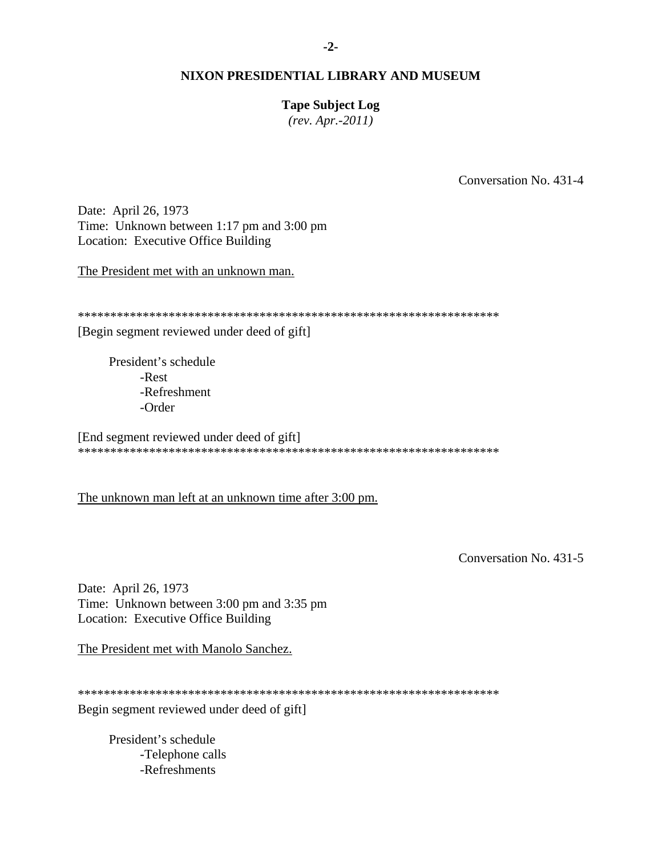### **Tape Subject Log**

*(rev. Apr.-2011)* 

Conversation No. 431-4

Date: April 26, 1973 Time: Unknown between 1:17 pm and 3:00 pm Location: Executive Office Building

The President met with an unknown man.

\*\*\*\*\*\*\*\*\*\*\*\*\*\*\*\*\*\*\*\*\*\*\*\*\*\*\*\*\*\*\*\*\*\*\*\*\*\*\*\*\*\*\*\*\*\*\*\*\*\*\*\*\*\*\*\*\*\*\*\*\*\*\*\*\*

[Begin segment reviewed under deed of gift]

 President's schedule -Rest -Refreshment -Order

[End segment reviewed under deed of gift] \*\*\*\*\*\*\*\*\*\*\*\*\*\*\*\*\*\*\*\*\*\*\*\*\*\*\*\*\*\*\*\*\*\*\*\*\*\*\*\*\*\*\*\*\*\*\*\*\*\*\*\*\*\*\*\*\*\*\*\*\*\*\*\*\*

The unknown man left at an unknown time after 3:00 pm.

Conversation No. 431-5

Date: April 26, 1973 Time: Unknown between 3:00 pm and 3:35 pm Location: Executive Office Building

The President met with Manolo Sanchez.

\*\*\*\*\*\*\*\*\*\*\*\*\*\*\*\*\*\*\*\*\*\*\*\*\*\*\*\*\*\*\*\*\*\*\*\*\*\*\*\*\*\*\*\*\*\*\*\*\*\*\*\*\*\*\*\*\*\*\*\*\*\*\*\*\*

Begin segment reviewed under deed of gift]

 President's schedule -Telephone calls -Refreshments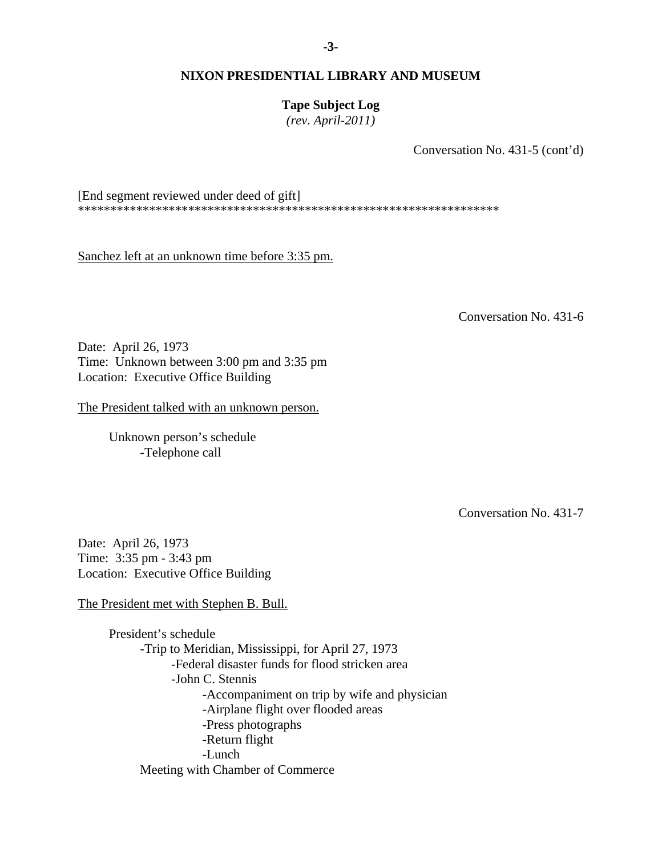**Tape Subject Log**  *(rev. April-2011)* 

Conversation No. 431-5 (cont'd)

[End segment reviewed under deed of gift] \*\*\*\*\*\*\*\*\*\*\*\*\*\*\*\*\*\*\*\*\*\*\*\*\*\*\*\*\*\*\*\*\*\*\*\*\*\*\*\*\*\*\*\*\*\*\*\*\*\*\*\*\*\*\*\*\*\*\*\*\*\*\*\*\*

Sanchez left at an unknown time before 3:35 pm.

Conversation No. 431-6

Date: April 26, 1973 Time: Unknown between 3:00 pm and 3:35 pm Location: Executive Office Building

The President talked with an unknown person.

Unknown person's schedule -Telephone call

Conversation No. 431-7

Date: April 26, 1973 Time: 3:35 pm - 3:43 pm Location: Executive Office Building

The President met with Stephen B. Bull.

 President's schedule -Trip to Meridian, Mississippi, for April 27, 1973 -Federal disaster funds for flood stricken area -John C. Stennis -Accompaniment on trip by wife and physician -Airplane flight over flooded areas -Press photographs -Return flight -Lunch Meeting with Chamber of Commerce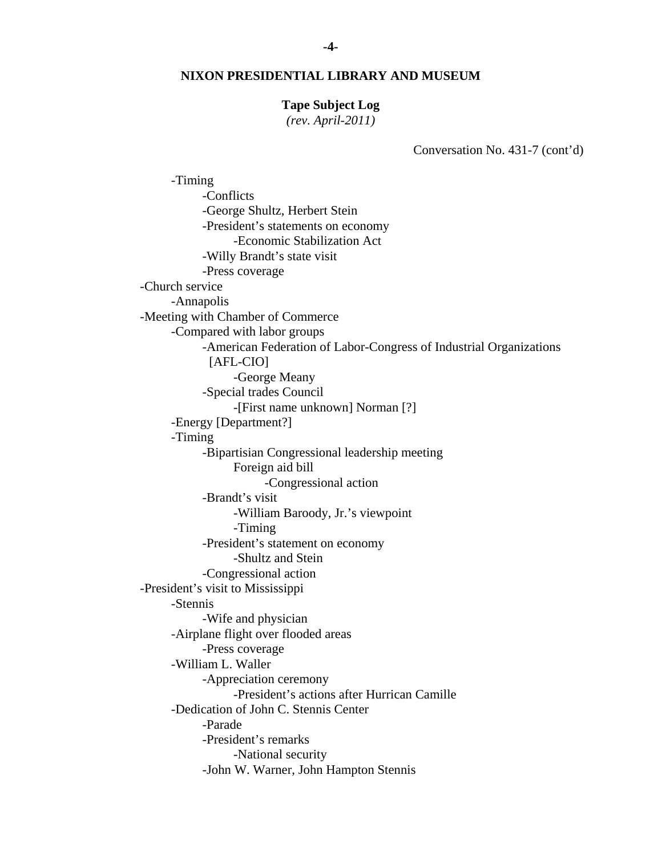#### **Tape Subject Log**

*(rev. April-2011)* 

Conversation No. 431-7 (cont'd)

 -Timing -Conflicts -George Shultz, Herbert Stein -President's statements on economy -Economic Stabilization Act -Willy Brandt's state visit -Press coverage -Church service -Annapolis -Meeting with Chamber of Commerce -Compared with labor groups -American Federation of Labor-Congress of Industrial Organizations [AFL-CIO] -George Meany -Special trades Council -[First name unknown] Norman [?] -Energy [Department?] -Timing -Bipartisian Congressional leadership meeting Foreign aid bill -Congressional action -Brandt's visit -William Baroody, Jr.'s viewpoint -Timing -President's statement on economy -Shultz and Stein -Congressional action -President's visit to Mississippi -Stennis -Wife and physician -Airplane flight over flooded areas -Press coverage -William L. Waller -Appreciation ceremony -President's actions after Hurrican Camille -Dedication of John C. Stennis Center -Parade -President's remarks -National security -John W. Warner, John Hampton Stennis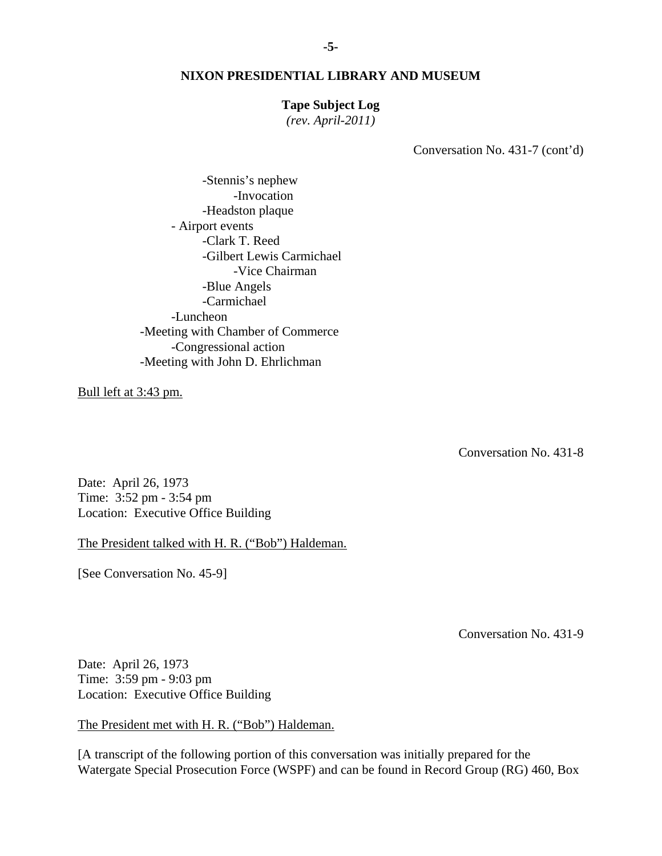#### **Tape Subject Log**

*(rev. April-2011)* 

Conversation No. 431-7 (cont'd)

 -Clark T. Reed -Blue Angels -Stennis's nephew -Invocation -Headston plaque - Airport events -Gilbert Lewis Carmichael -Vice Chairman -Carmichael -Luncheon -Meeting with Chamber of Commerce -Congressional action -Meeting with John D. Ehrlichman

Bull left at 3:43 pm.

Conversation No. 431-8

Date: April 26, 1973 Time: 3:52 pm - 3:54 pm Location: Executive Office Building

The President talked with H. R. ("Bob") Haldeman.

[See Conversation No. 45-9]

Conversation No. 431-9

Date: April 26, 1973 Time: 3:59 pm - 9:03 pm Location: Executive Office Building

The President met with H. R. ("Bob") Haldeman.

[A transcript of the following portion of this conversation was initially prepared for the Watergate Special Prosecution Force (WSPF) and can be found in Record Group (RG) 460, Box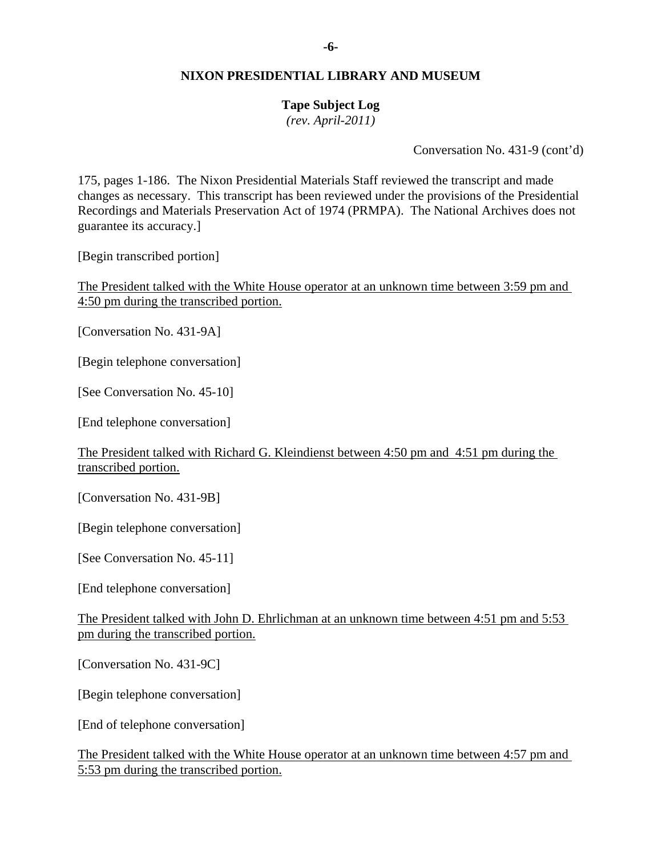## **Tape Subject Log**

*(rev. April-2011)* 

Conversation No. 431-9 (cont'd)

175, pages 1-186. The Nixon Presidential Materials Staff reviewed the transcript and made changes as necessary. This transcript has been reviewed under the provisions of the Presidential Recordings and Materials Preservation Act of 1974 (PRMPA). The National Archives does not guarantee its accuracy.]

[Begin transcribed portion]

The President talked with the White House operator at an unknown time between 3:59 pm and 4:50 pm during the transcribed portion.

[Conversation No. 431-9A]

[Begin telephone conversation]

[See Conversation No. 45-10]

[End telephone conversation]

The President talked with Richard G. Kleindienst between 4:50 pm and 4:51 pm during the transcribed portion.

[Conversation No. 431-9B]

[Begin telephone conversation]

[See Conversation No. 45-11]

[End telephone conversation]

The President talked with John D. Ehrlichman at an unknown time between 4:51 pm and 5:53 pm during the transcribed portion.

[Conversation No. 431-9C]

[Begin telephone conversation]

[End of telephone conversation]

The President talked with the White House operator at an unknown time between 4:57 pm and 5:53 pm during the transcribed portion.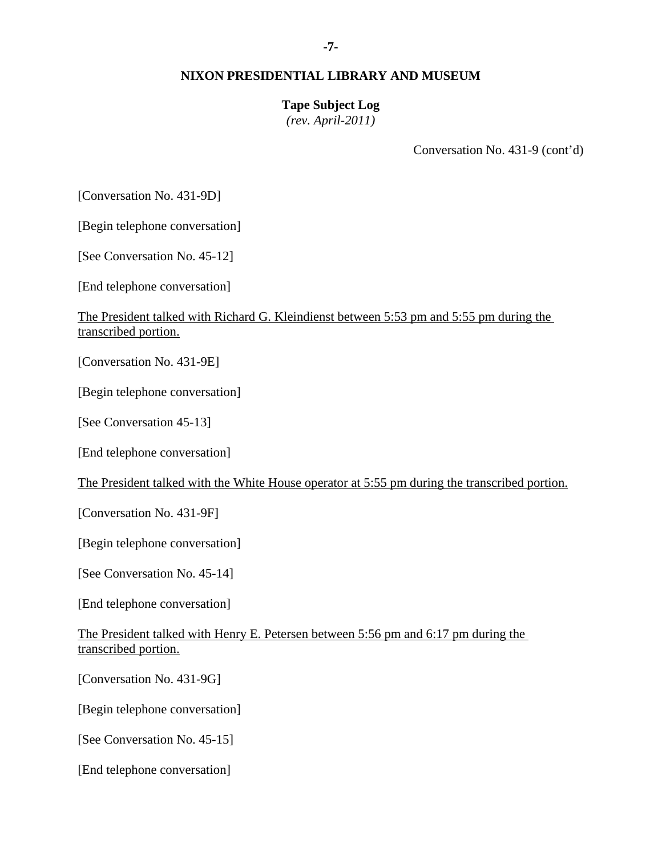#### **Tape Subject Log**

*(rev. April-2011)* 

Conversation No. 431-9 (cont'd)

[Conversation No. 431-9D]

[Begin telephone conversation]

[See Conversation No. 45-12]

[End telephone conversation]

### The President talked with Richard G. Kleindienst between 5:53 pm and 5:55 pm during the transcribed portion.

[Conversation No. 431-9E]

[Begin telephone conversation]

[See Conversation 45-13]

[End telephone conversation]

The President talked with the White House operator at 5:55 pm during the transcribed portion.

[Conversation No. 431-9F]

[Begin telephone conversation]

[See Conversation No. 45-14]

[End telephone conversation]

The President talked with Henry E. Petersen between 5:56 pm and 6:17 pm during the transcribed portion.

[Conversation No. 431-9G]

[Begin telephone conversation]

[See Conversation No. 45-15]

[End telephone conversation]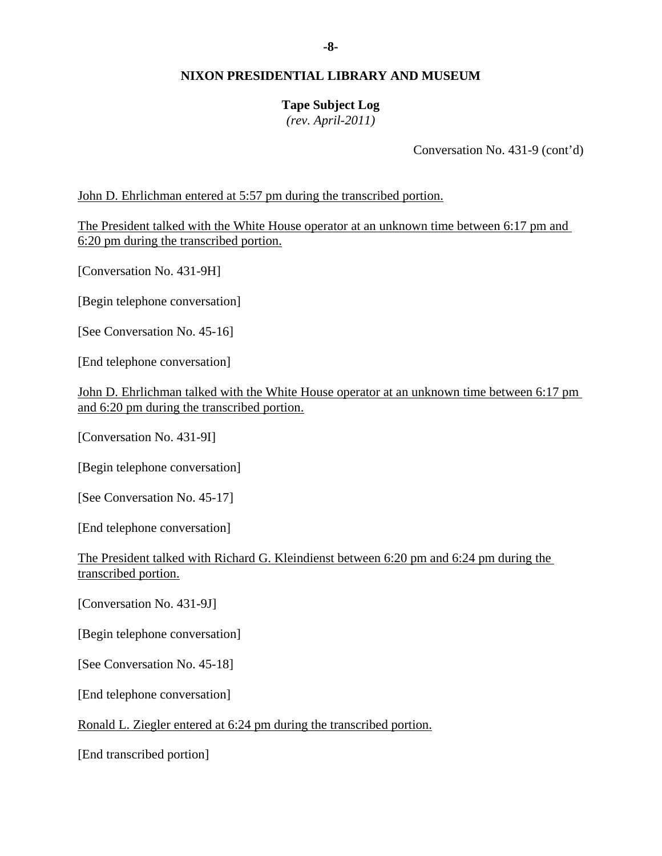# **Tape Subject Log**

*(rev. April-2011)* 

Conversation No. 431-9 (cont'd)

John D. Ehrlichman entered at 5:57 pm during the transcribed portion.

The President talked with the White House operator at an unknown time between 6:17 pm and 6:20 pm during the transcribed portion.

[Conversation No. 431-9H]

[Begin telephone conversation]

[See Conversation No. 45-16]

[End telephone conversation]

John D. Ehrlichman talked with the White House operator at an unknown time between 6:17 pm and 6:20 pm during the transcribed portion.

[Conversation No. 431-9I]

[Begin telephone conversation]

[See Conversation No. 45-17]

[End telephone conversation]

The President talked with Richard G. Kleindienst between 6:20 pm and 6:24 pm during the transcribed portion.

[Conversation No. 431-9J]

[Begin telephone conversation]

[See Conversation No. 45-18]

[End telephone conversation]

Ronald L. Ziegler entered at 6:24 pm during the transcribed portion.

[End transcribed portion]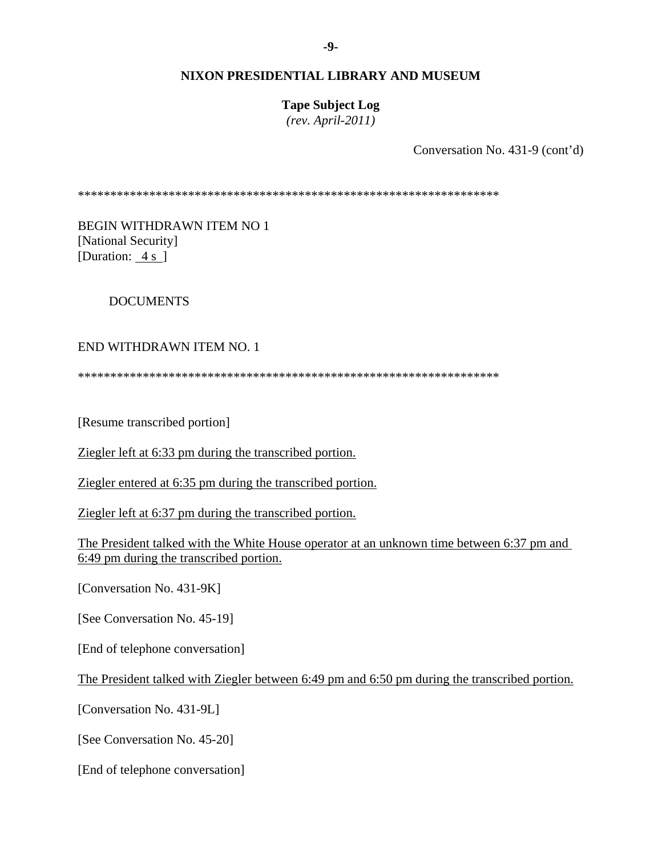**Tape Subject Log**  *(rev. April-2011)* 

Conversation No. 431-9 (cont'd)

\*\*\*\*\*\*\*\*\*\*\*\*\*\*\*\*\*\*\*\*\*\*\*\*\*\*\*\*\*\*\*\*\*\*\*\*\*\*\*\*\*\*\*\*\*\*\*\*\*\*\*\*\*\*\*\*\*\*\*\*\*\*\*\*\*

BEGIN WITHDRAWN ITEM NO 1 [National Security] [Duration: 4 s ]

## DOCUMENTS

#### END WITHDRAWN ITEM NO. 1

\*\*\*\*\*\*\*\*\*\*\*\*\*\*\*\*\*\*\*\*\*\*\*\*\*\*\*\*\*\*\*\*\*\*\*\*\*\*\*\*\*\*\*\*\*\*\*\*\*\*\*\*\*\*\*\*\*\*\*\*\*\*\*\*\*

[Resume transcribed portion]

Ziegler left at 6:33 pm during the transcribed portion.

Ziegler entered at 6:35 pm during the transcribed portion.

Ziegler left at 6:37 pm during the transcribed portion.

The President talked with the White House operator at an unknown time between 6:37 pm and 6:49 pm during the transcribed portion.

[Conversation No. 431-9K]

[See Conversation No. 45-19]

[End of telephone conversation]

The President talked with Ziegler between 6:49 pm and 6:50 pm during the transcribed portion.

[Conversation No. 431-9L]

[See Conversation No. 45-20]

[End of telephone conversation]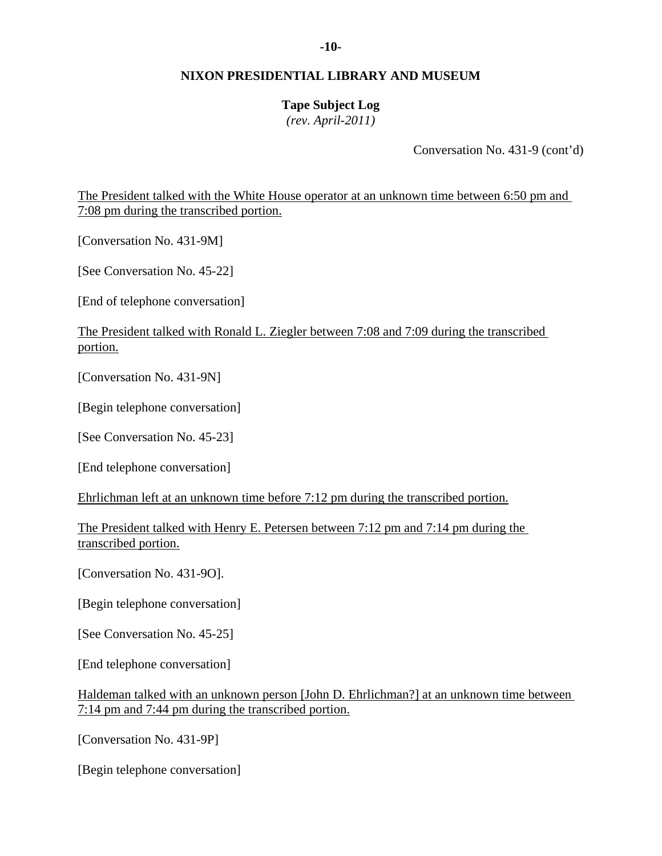# **Tape Subject Log**

*(rev. April-2011)* 

Conversation No. 431-9 (cont'd)

The President talked with the White House operator at an unknown time between 6:50 pm and 7:08 pm during the transcribed portion.

[Conversation No. 431-9M]

[See Conversation No. 45-22]

[End of telephone conversation]

The President talked with Ronald L. Ziegler between 7:08 and 7:09 during the transcribed portion.

[Conversation No. 431-9N]

[Begin telephone conversation]

[See Conversation No. 45-23]

[End telephone conversation]

Ehrlichman left at an unknown time before 7:12 pm during the transcribed portion.

The President talked with Henry E. Petersen between 7:12 pm and 7:14 pm during the transcribed portion.

[Conversation No. 431-9O].

[Begin telephone conversation]

[See Conversation No. 45-25]

[End telephone conversation]

Haldeman talked with an unknown person [John D. Ehrlichman?] at an unknown time between 7:14 pm and 7:44 pm during the transcribed portion.

[Conversation No. 431-9P]

[Begin telephone conversation]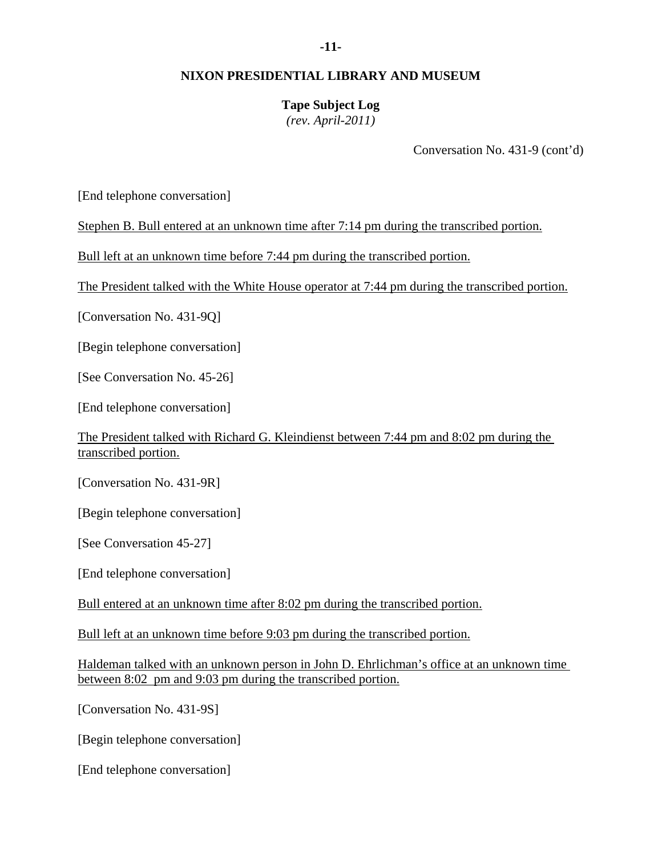# **Tape Subject Log**

*(rev. April-2011)* 

Conversation No. 431-9 (cont'd)

[End telephone conversation]

Stephen B. Bull entered at an unknown time after 7:14 pm during the transcribed portion.

Bull left at an unknown time before 7:44 pm during the transcribed portion.

The President talked with the White House operator at 7:44 pm during the transcribed portion.

[Conversation No. 431-9Q]

[Begin telephone conversation]

[See Conversation No. 45-26]

[End telephone conversation]

The President talked with Richard G. Kleindienst between 7:44 pm and 8:02 pm during the transcribed portion.

[Conversation No. 431-9R]

[Begin telephone conversation]

[See Conversation 45-27]

[End telephone conversation]

Bull entered at an unknown time after 8:02 pm during the transcribed portion.

Bull left at an unknown time before 9:03 pm during the transcribed portion.

Haldeman talked with an unknown person in John D. Ehrlichman's office at an unknown time between 8:02 pm and 9:03 pm during the transcribed portion.

[Conversation No. 431-9S]

[Begin telephone conversation]

[End telephone conversation]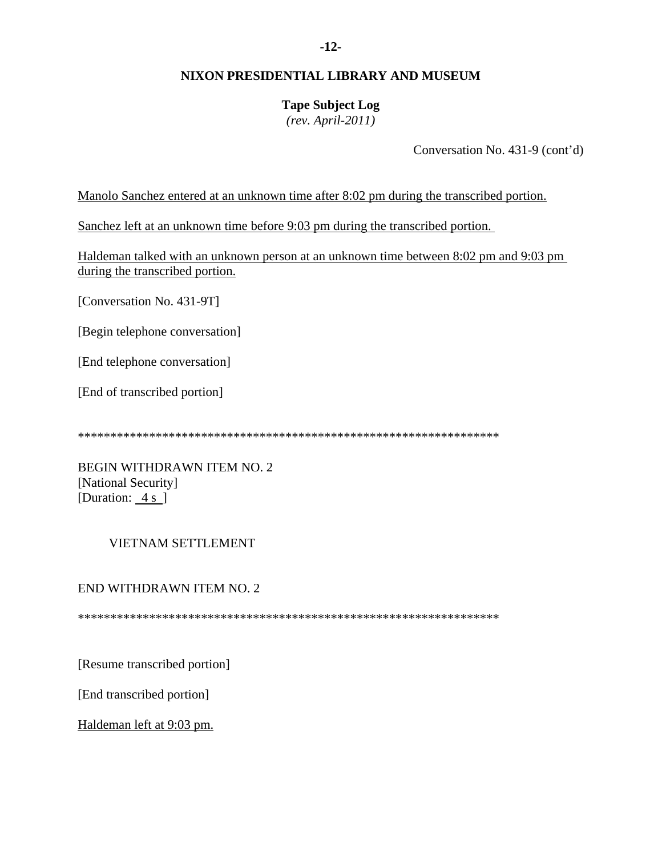# **Tape Subject Log**

*(rev. April-2011)* 

Conversation No. 431-9 (cont'd)

Manolo Sanchez entered at an unknown time after 8:02 pm during the transcribed portion.

Sanchez left at an unknown time before 9:03 pm during the transcribed portion.

Haldeman talked with an unknown person at an unknown time between 8:02 pm and 9:03 pm during the transcribed portion.

[Conversation No. 431-9T]

[Begin telephone conversation]

[End telephone conversation]

[End of transcribed portion]

\*\*\*\*\*\*\*\*\*\*\*\*\*\*\*\*\*\*\*\*\*\*\*\*\*\*\*\*\*\*\*\*\*\*\*\*\*\*\*\*\*\*\*\*\*\*\*\*\*\*\*\*\*\*\*\*\*\*\*\*\*\*\*\*\*

BEGIN WITHDRAWN ITEM NO. 2 [National Security] [Duration: 4 s ]

## VIETNAM SETTLEMENT

## END WITHDRAWN ITEM NO. 2

\*\*\*\*\*\*\*\*\*\*\*\*\*\*\*\*\*\*\*\*\*\*\*\*\*\*\*\*\*\*\*\*\*\*\*\*\*\*\*\*\*\*\*\*\*\*\*\*\*\*\*\*\*\*\*\*\*\*\*\*\*\*\*\*\*

[Resume transcribed portion]

[End transcribed portion]

Haldeman left at 9:03 pm.